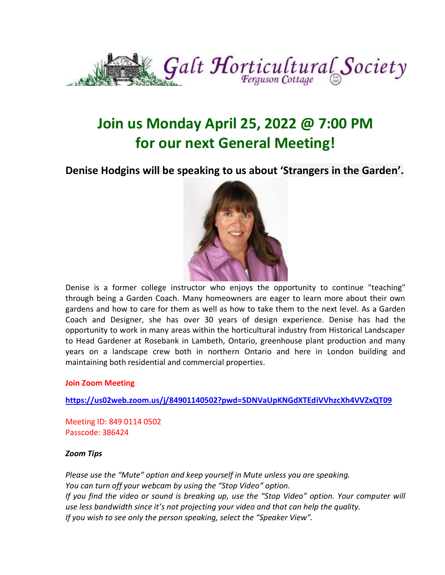

# **Join us Monday April 25, 2022 @ 7:00 PM for our next General Meeting!**

#### **Denise Hodgins will be speaking to us about 'Strangers in the Garden'.**



Denise is a former college instructor who enjoys the opportunity to continue "teaching" through being a Garden Coach. Many homeowners are eager to learn more about their own gardens and how to care for them as well as how to take them to the next level. As a Garden Coach and Designer, she has over 30 years of design experience. Denise has had the opportunity to work in many areas within the horticultural industry from Historical Landscaper to Head Gardener at Rosebank in Lambeth, Ontario, greenhouse plant production and many years on a landscape crew both in northern Ontario and here in London building and maintaining both residential and commercial properties.

#### **Join Zoom Meeting**

**<https://us02web.zoom.us/j/84901140502?pwd=SDNVaUpKNGdXTEdiVVhzcXh4VVZxQT09>**

Meeting ID: 849 0114 0502 Passcode: 386424

#### *Zoom Tips*

*Please use the "Mute" option and keep yourself in Mute unless you are speaking. You can turn off your webcam by using the "Stop Video" option. If you find the video or sound is breaking up, use the "Stop Video" option. Your computer will use less bandwidth since it's not projecting your video and that can help the quality. If you wish to see only the person speaking, select the "Speaker View".*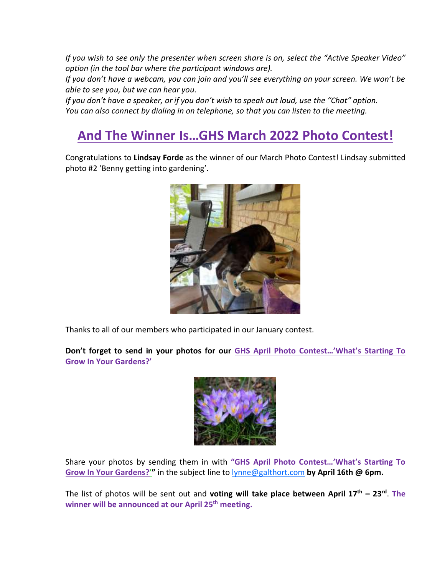*If you wish to see only the presenter when screen share is on, select the "Active Speaker Video" option (in the tool bar where the participant windows are).*

*If you don't have a webcam, you can join and you'll see everything on your screen. We won't be able to see you, but we can hear you.*

*If you don't have a speaker, or if you don't wish to speak out loud, use the "Chat" option. You can also connect by dialing in on telephone, so that you can listen to the meeting.*

### **And The Winner Is…GHS March 2022 Photo Contest!**

Congratulations to **Lindsay Forde** as the winner of our March Photo Contest! Lindsay submitted photo #2 'Benny getting into gardening'.



Thanks to all of our members who participated in our January contest.

**Don't forget to send in your photos for our GHS April Photo Contest…'What's Starting To Grow In Your Gardens?'**



Share your photos by sending them in with **"GHS April Photo Contest…'What's Starting To Grow In Your Gardens?'"** in the subject line to [lynne@galthort.com](mailto:lynne@galthort.com) **by April 16th @ 6pm.**

The list of photos will be sent out and **voting will take place between April 17th – 23 rd** . **The winner will be announced at our April 25th meeting.**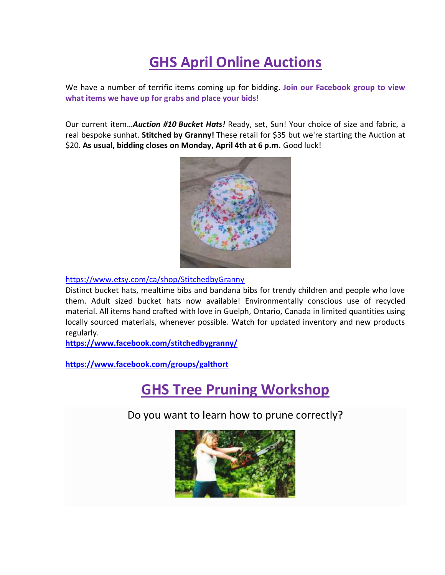# **GHS April Online Auctions**

We have a number of terrific items coming up for bidding. **Join our Facebook group to view what items we have up for grabs and place your bids!**

Our current item…*Auction #10 Bucket Hats!* Ready, set, Sun! Your choice of size and fabric, a real bespoke sunhat. **Stitched by Granny!** These retail for \$35 but we're starting the Auction at \$20. **As usual, bidding closes on Monday, April 4th at 6 p.m.** Good luck!



[https://www.etsy.com/ca/shop/StitchedbyGranny](https://www.etsy.com/ca/shop/StitchedbyGranny?fbclid=IwAR2419iF3B-weVg4y7XWNksVYs-fW0BkP_6U23OSuphL9-63KI6OXipD1vs)

Distinct bucket hats, mealtime bibs and bandana bibs for trendy children and people who love them. Adult sized bucket hats now available! Environmentally conscious use of recycled material. All items hand crafted with love in Guelph, Ontario, Canada in limited quantities using locally sourced materials, whenever possible. Watch for updated inventory and new products regularly.

**[https://www.facebook.com/stitchedbygranny/](https://www.facebook.com/stitchedbygranny/?__cft__%5b0%5d=AZVuiLZ9htfwWrelr2OCsPfeRTXVniTIp_qFGJw0Fnhccw3OlMDzO2LWsIoGrXGvFCSKXOYzur9_jzf6Q-V2MruBFsr7v3oFaWVUiV-7VX5MxOCwejgOvo4cz3SdtOHwGV5FUl1ijmJpxDQqrj08BEeyjpPkaE0jadrocCZ3f5MdF8v2idNJsbZLeteYZsorT2Y&__tn__=-UK-R)**

**<https://www.facebook.com/groups/galthort>**

### **GHS Tree Pruning Workshop**

Do you want to learn how to prune correctly?

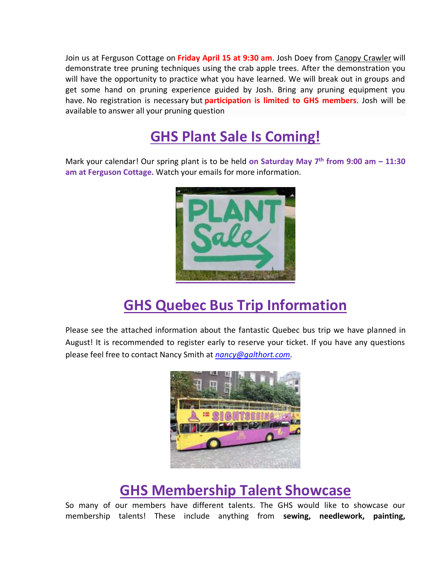Join us at Ferguson Cottage on **Friday April 15 at 9:30 am**. Josh Doey from Canopy [Crawler](https://www.facebook.com/CanopyCrawlerTC) will demonstrate tree pruning techniques using the crab apple trees. After the demonstration you will have the opportunity to practice what you have learned. We will break out in groups and get some hand on pruning experience guided by Josh. Bring any pruning equipment you have. No registration is necessary but **participation is limited to GHS members**. Josh will be available to answer all your pruning question

# **GHS Plant Sale Is Coming!**

Mark your calendar! Our spring plant is to be held **on Saturday May 7th from 9:00 am – 11:30 am at Ferguson Cottage.** Watch your emails for more information.



# **GHS Quebec Bus Trip Information**

Please see the attached information about the fantastic Quebec bus trip we have planned in August! It is recommended to register early to reserve your ticket. If you have any questions please feel free to contact Nancy Smith at *[nancy@galthort.com.](mailto:nancy@galthort.com)*



## **GHS Membership Talent Showcase**

So many of our members have different talents. The GHS would like to showcase our membership talents! These include anything from **sewing, needlework, painting,**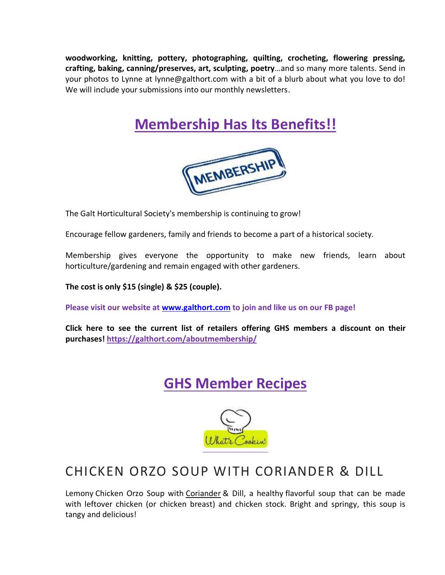**woodworking, knitting, pottery, photographing, quilting, crocheting, flowering pressing, crafting, baking, canning/preserves, art, sculpting, poetry**…and so many more talents. Send in your photos to Lynne at lynne@galthort.com with a bit of a blurb about what you love to do! We will include your submissions into our monthly newsletters.

# **Membership Has Its Benefits!!**



The Galt Horticultural Society's membership is continuing to grow!

Encourage fellow gardeners, family and friends to become a part of a historical society.

Membership gives everyone the opportunity to make new friends, learn about horticulture/gardening and remain engaged with other gardeners.

**The cost is only \$15 (single) & \$25 (couple).** 

**Please visit our website at [www.galthort.com](http://www.galthort.com/) to join and like us on our FB page!**

**Click here to see the current list of retailers offering GHS members a discount on their purchases! <https://galthort.com/aboutmembership/>**

### **GHS Member Recipes**



### CHICKEN ORZO SOUP WITH CORIANDER & DILL

Lemony Chicken Orzo Soup with [Coriander](https://amzn.to/2GoiYgC) & Dill, a healthy flavorful soup that can be made with leftover chicken (or chicken breast) and chicken stock. Bright and springy, this soup is tangy and delicious!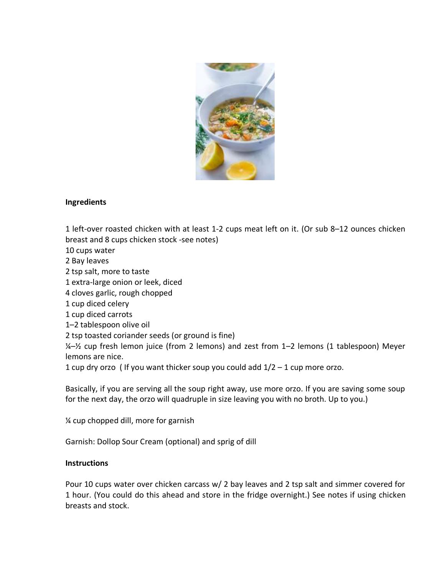

#### **Ingredients**

1 left-over roasted chicken with at least 1-2 cups meat left on it. (Or sub 8–12 ounces chicken breast and 8 cups chicken stock -see notes)

10 cups water

2 Bay leaves

2 tsp salt, more to taste

1 extra-large onion or leek, diced

4 cloves garlic, rough chopped

1 cup diced celery

1 cup diced carrots

1–2 tablespoon olive oil

2 tsp toasted coriander seeds (or ground is fine)

¼–½ cup fresh lemon juice (from 2 lemons) and zest from 1–2 lemons (1 tablespoon) Meyer lemons are nice.

1 cup dry orzo ( If you want thicker soup you could add  $1/2 - 1$  cup more orzo.

Basically, if you are serving all the soup right away, use more orzo. If you are saving some soup for the next day, the orzo will quadruple in size leaving you with no broth. Up to you.)

¼ cup chopped dill, more for garnish

Garnish: Dollop Sour Cream (optional) and sprig of dill

#### **Instructions**

Pour 10 cups water over chicken carcass w/ 2 bay leaves and 2 tsp salt and simmer covered for 1 hour. (You could do this ahead and store in the fridge overnight.) See notes if using chicken breasts and stock.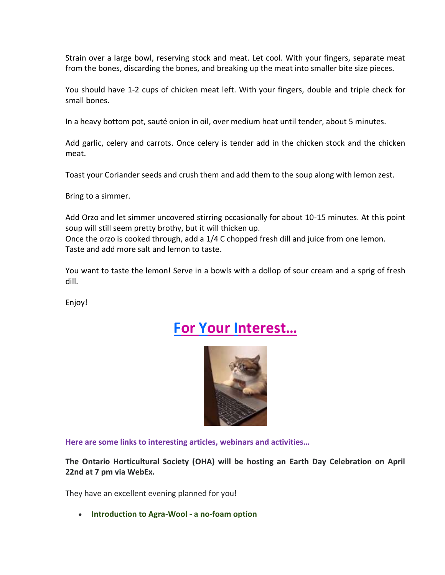Strain over a large bowl, reserving stock and meat. Let cool. With your fingers, separate meat from the bones, discarding the bones, and breaking up the meat into smaller bite size pieces.

You should have 1-2 cups of chicken meat left. With your fingers, double and triple check for small bones.

In a heavy bottom pot, sauté onion in oil, over medium heat until tender, about 5 minutes.

Add garlic, celery and carrots. Once celery is tender add in the chicken stock and the chicken meat.

Toast your Coriander seeds and crush them and add them to the soup along with lemon zest.

Bring to a simmer.

Add Orzo and let simmer uncovered stirring occasionally for about 10-15 minutes. At this point soup will still seem pretty brothy, but it will thicken up.

Once the orzo is cooked through, add a 1/4 C chopped fresh dill and juice from one lemon. Taste and add more salt and lemon to taste.

You want to taste the lemon! Serve in a bowls with a dollop of sour cream and a sprig of fresh dill.

Enjoy!

### **For Your Interest…**



**Here are some links to interesting articles, webinars and activities…**

**The Ontario Horticultural Society (OHA) will be hosting an Earth Day Celebration on April 22nd at 7 pm via WebEx.**

They have an excellent evening planned for you!

• **Introduction to Agra-Wool - a no-foam option**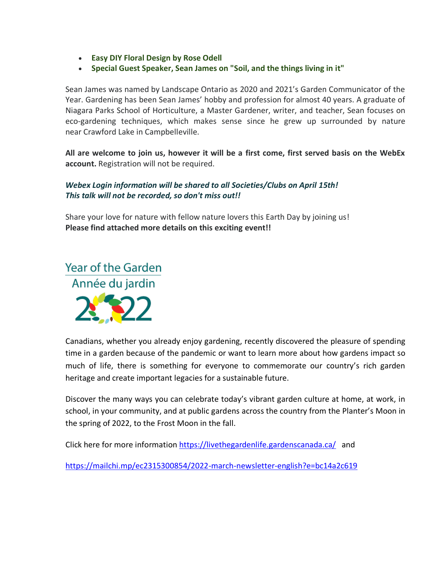- **Easy DIY Floral Design by Rose Odell**
- **Special Guest Speaker, Sean James on "Soil, and the things living in it"**

Sean James was named by Landscape Ontario as 2020 and 2021's Garden Communicator of the Year. Gardening has been Sean James' hobby and profession for almost 40 years. A graduate of Niagara Parks School of Horticulture, a Master Gardener, writer, and teacher, Sean focuses on eco-gardening techniques, which makes sense since he grew up surrounded by nature near Crawford Lake in Campbelleville.

**All are welcome to join us, however it will be a first come, first served basis on the WebEx account.** Registration will not be required.

#### *Webex Login information will be shared to all Societies/Clubs on April 15th! This talk will not be recorded, so don't miss out!!*

Share your love for nature with fellow nature lovers this Earth Day by joining us! **Please find attached more details on this exciting event!!**

### **Year of the Garden** Année du jardin



Canadians, whether you already enjoy gardening, recently discovered the pleasure of spending time in a garden because of the pandemic or want to learn more about how gardens impact so much of life, there is something for everyone to commemorate our country's rich garden heritage and create important legacies for a sustainable future.

Discover the many ways you can celebrate today's vibrant garden culture at home, at work, in school, in your community, and at public gardens across the country from the Planter's Moon in the spring of 2022, to the Frost Moon in the fall.

Click here for more information <https://livethegardenlife.gardenscanada.ca/>and

<https://mailchi.mp/ec2315300854/2022-march-newsletter-english?e=bc14a2c619>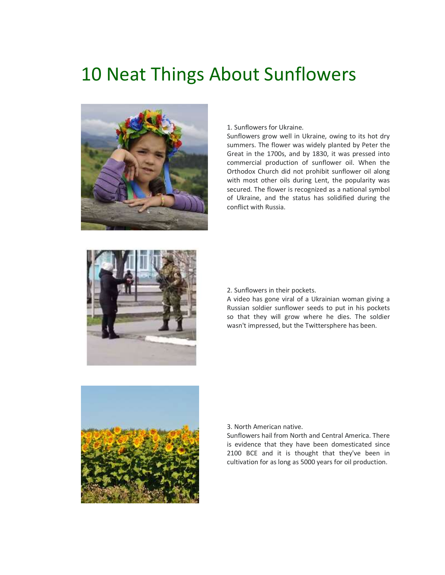# 10 Neat Things About Sunflowers



1. Sunflowers for Ukraine.

Sunflowers grow well in Ukraine, owing to its hot dry summers. The flower was widely planted by Peter the Great in the 1700s, and by 1830, it was pressed into commercial production of sunflower oil. When the Orthodox Church did not prohibit sunflower oil along with most other oils during Lent, the popularity was secured. The flower is recognized as a national symbol of Ukraine, and the status has solidified during the conflict with Russia.



2. Sunflowers in their pockets.

A video has gone viral of a Ukrainian woman giving a Russian soldier sunflower seeds to put in his pockets so that they will grow where he dies. The soldier wasn't impressed, but the Twittersphere has been.



3. North American native.

Sunflowers hail from North and Central America. There is evidence that they have been domesticated since 2100 BCE and it is thought that they've been in cultivation for as long as 5000 years for oil production.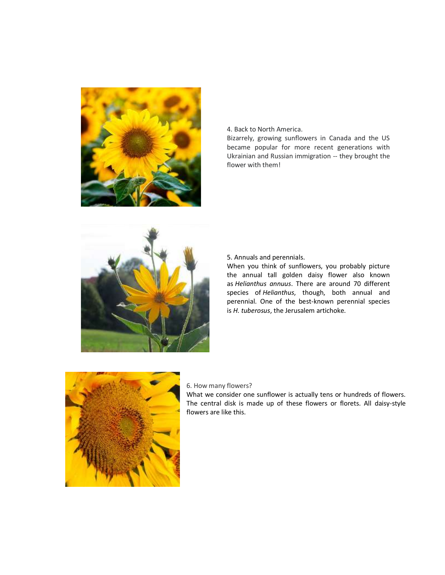

4. Back to North America.

Bizarrely, growing sunflowers in Canada and the US became popular for more recent generations with Ukrainian and Russian immigration -- they brought the flower with them!



5. Annuals and perennials.

When you think of sunflowers, you probably picture the annual tall golden daisy flower also known as *Helianthus annuus*. There are around 70 different species of *Helianthus*, though, both annual and perennial. One of the best-known perennial species is *H. tuberosus*, the Jerusalem artichoke.



#### 6. How many flowers?

What we consider one sunflower is actually tens or hundreds of flowers. The central disk is made up of these flowers or florets. All daisy-style flowers are like this.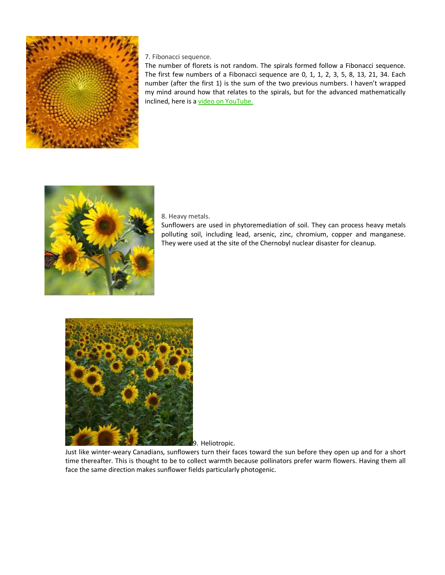

7. Fibonacci sequence.

The number of florets is not random. The spirals formed follow a Fibonacci sequence. The first few numbers of a Fibonacci sequence are  $0, 1, 1, 2, 3, 5, 8, 13, 21, 34$ . Each number (after the first 1) is the sum of the two previous numbers. I haven't wrapped my mind around how that relates to the spirals, but for the advanced mathematically inclined, here is a video on [YouTube.](https://www.youtube.com/watch?v=_GkxCIW46to)



8. Heavy metals.

Sunflowers are used in phytoremediation of soil. They can process heavy metals polluting soil, including lead, arsenic, zinc, chromium, copper and manganese. They were used at the site of the Chernobyl nuclear disaster for cleanup.



9. Heliotropic.

Just like winter-weary Canadians, sunflowers turn their faces toward the sun before they open up and for a short time thereafter. This is thought to be to collect warmth because pollinators prefer warm flowers. Having them all face the same direction makes sunflower fields particularly photogenic.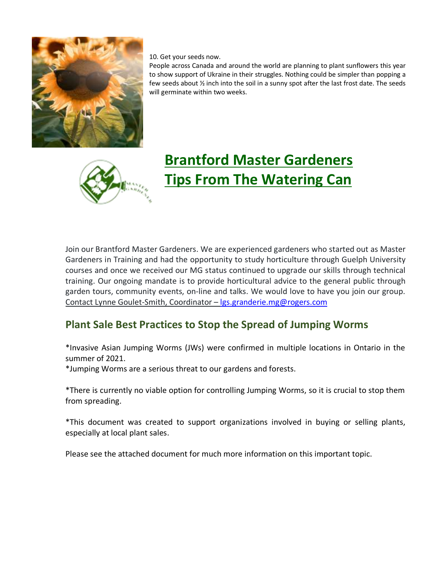

10. Get your seeds now.

People across Canada and around the world are planning to plant sunflowers this year to show support of Ukraine in their struggles. Nothing could be simpler than popping a few seeds about ½ inch into the soil in a sunny spot after the last frost date. The seeds will germinate within two weeks.



# **Brantford Master Gardeners Tips From The Watering Can**

Join our Brantford Master Gardeners. We are experienced gardeners who started out as Master Gardeners in Training and had the opportunity to study horticulture through Guelph University courses and once we received our MG status continued to upgrade our skills through technical training. Our ongoing mandate is to provide horticultural advice to the general public through garden tours, community events, on-line and talks. We would love to have you join our group. Contact Lynne Goulet-Smith, Coordinator – [lgs.granderie.mg@rogers.com](mailto:lgs.granderie.mg@rogers.com)

### **Plant Sale Best Practices to Stop the Spread of Jumping Worms**

\*Invasive Asian Jumping Worms (JWs) were confirmed in multiple locations in Ontario in the summer of 2021.

\*Jumping Worms are a serious threat to our gardens and forests.

\*There is currently no viable option for controlling Jumping Worms, so it is crucial to stop them from spreading.

\*This document was created to support organizations involved in buying or selling plants, especially at local plant sales.

Please see the attached document for much more information on this important topic.